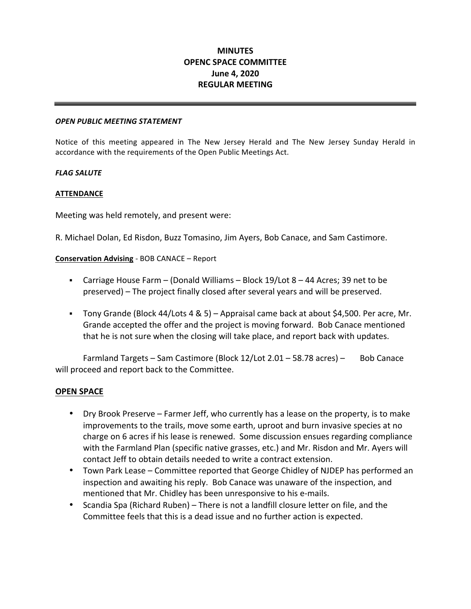# **OPENC SPACE COMMITTEE MINUTES June 4, 2020 REGULAR MEETING**

#### *OPEN PUBLIC MEETING STATEMENT*

 Notice of this meeting appeared in The New Jersey Herald and The New Jersey Sunday Herald in accordance with the requirements of the Open Public Meetings Act.

# *FLAG SALUTE*

# **ATTENDANCE**

Meeting was held remotely, and present were:

R. Michael Dolan, Ed Risdon, Buzz Tomasino, Jim Ayers, Bob Canace, and Sam Castimore.

 **Conservation Advising** - BOB CANACE – Report

- **•** Carriage House Farm (Donald Williams Block 19/Lot  $8 44$  Acres; 39 net to be preserved) – The project finally closed after several years and will be preserved.
- **Tony Grande (Block 44/Lots 4 & 5) Appraisal came back at about \$4,500. Per acre, Mr.** Grande accepted the offer and the project is moving forward. Bob Canace mentioned that he is not sure when the closing will take place, and report back with updates.

Farmland Targets – Sam Castimore (Block 12/Lot 2.01 – 58.78 acres) – Bob Canace will proceed and report back to the Committee.

# **OPEN SPACE**

- Dry Brook Preserve Farmer Jeff, who currently has a lease on the property, is to make improvements to the trails, move some earth, uproot and burn invasive species at no charge on 6 acres if his lease is renewed. Some discussion ensues regarding compliance with the Farmland Plan (specific native grasses, etc.) and Mr. Risdon and Mr. Ayers will contact Jeff to obtain details needed to write a contract extension.
- Town Park Lease Committee reported that George Chidley of NJDEP has performed an inspection and awaiting his reply. Bob Canace was unaware of the inspection, and mentioned that Mr. Chidley has been unresponsive to his e-mails.
- Scandia Spa (Richard Ruben) There is not a landfill closure letter on file, and the Committee feels that this is a dead issue and no further action is expected.